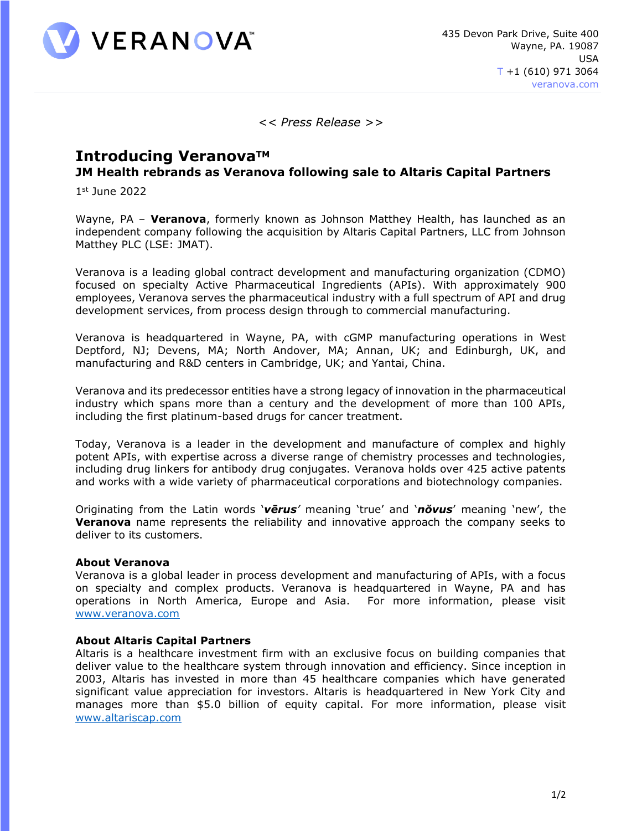

*<< Press Release >>*

## **Introducing VeranovaTM JM Health rebrands as Veranova following sale to Altaris Capital Partners**

1 st June 2022

Wayne, PA – **Veranova**, formerly known as Johnson Matthey Health, has launched as an independent company following the acquisition by Altaris Capital Partners, LLC from Johnson Matthey PLC (LSE: JMAT).

Veranova is a leading global contract development and manufacturing organization (CDMO) focused on specialty Active Pharmaceutical Ingredients (APIs). With approximately 900 employees, Veranova serves the pharmaceutical industry with a full spectrum of API and drug development services, from process design through to commercial manufacturing.

Veranova is headquartered in Wayne, PA, with cGMP manufacturing operations in West Deptford, NJ; Devens, MA; North Andover, MA; Annan, UK; and Edinburgh, UK, and manufacturing and R&D centers in Cambridge, UK; and Yantai, China.

Veranova and its predecessor entities have a strong legacy of innovation in the pharmaceutical industry which spans more than a century and the development of more than 100 APIs, including the first platinum-based drugs for cancer treatment.

Today, Veranova is a leader in the development and manufacture of complex and highly potent APIs, with expertise across a diverse range of chemistry processes and technologies, including drug linkers for antibody drug conjugates. Veranova holds over 425 active patents and works with a wide variety of pharmaceutical corporations and biotechnology companies.

Originating from the Latin words '*vērus'* meaning 'true' and '*nŏvus*' meaning 'new', the **Veranova** name represents the reliability and innovative approach the company seeks to deliver to its customers.

## **About Veranova**

Veranova is a global leader in process development and manufacturing of APIs, with a focus on specialty and complex products. Veranova is headquartered in Wayne, PA and has operations in North America, Europe and Asia. For more information, please visit [www.veranova.com](http://www.veranova.com/)

## **About Altaris Capital Partners**

Altaris is a healthcare investment firm with an exclusive focus on building companies that deliver value to the healthcare system through innovation and efficiency. Since inception in 2003, Altaris has invested in more than 45 healthcare companies which have generated significant value appreciation for investors. Altaris is headquartered in New York City and manages more than \$5.0 billion of equity capital. For more information, please visit [www.altariscap.com](http://www.altariscap.com/)